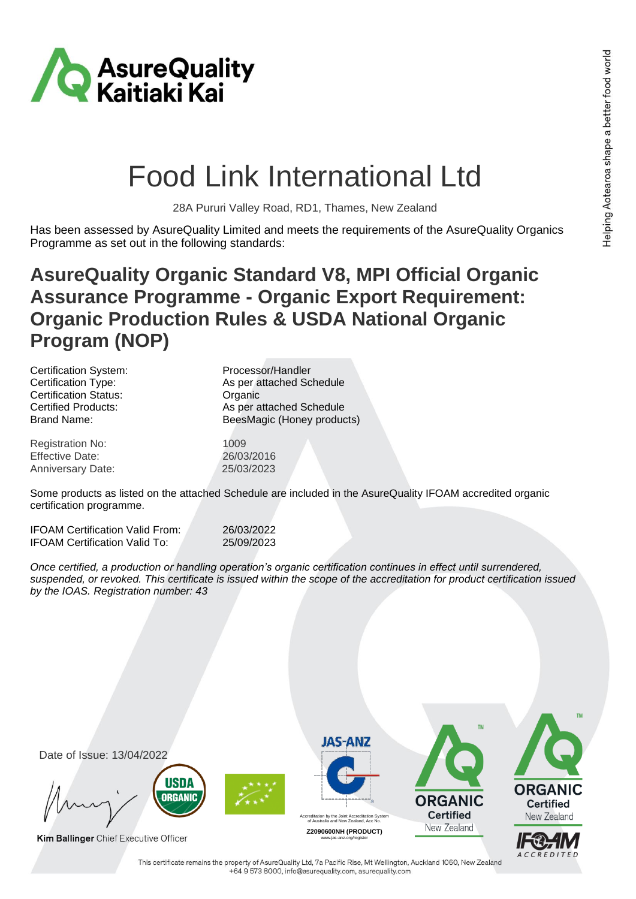ACCREDITED



## Food Link International Ltd

28A Pururi Valley Road, RD1, Thames, New Zealand

Has been assessed by AsureQuality Limited and meets the requirements of the AsureQuality Organics Programme as set out in the following standards:

## **AsureQuality Organic Standard V8, MPI Official Organic Assurance Programme - Organic Export Requirement: Organic Production Rules & USDA National Organic Program (NOP)**

| Certification System:        | Processor/Handler          |
|------------------------------|----------------------------|
| Certification Type:          | As per attached Schedule   |
| <b>Certification Status:</b> | Organic                    |
| <b>Certified Products:</b>   | As per attached Schedule   |
| <b>Brand Name:</b>           | BeesMagic (Honey products) |
| <b>Registration No:</b>      | 1009                       |
| <b>Effective Date:</b>       | 26/03/2016                 |
| Anniversary Date:            | 25/03/2023                 |

Some products as listed on the attached Schedule are included in the AsureQuality IFOAM accredited organic certification programme.

| <b>IFOAM Certification Valid From:</b> | 26/03/2022 |
|----------------------------------------|------------|
| <b>IFOAM Certification Valid To:</b>   | 25/09/2023 |

*Once certified, a production or handling operation's organic certification continues in effect until surrendered, suspended, or revoked. This certificate is issued within the scope of the accreditation for product certification issued by the IOAS. Registration number: 43*



This certificate remains the property of AsureQuality Ltd, 7a Pacific Rise, Mt Wellington, Auckland 1060, New Zealand +64 9 573 8000, info@asurequality.com, asurequality.com